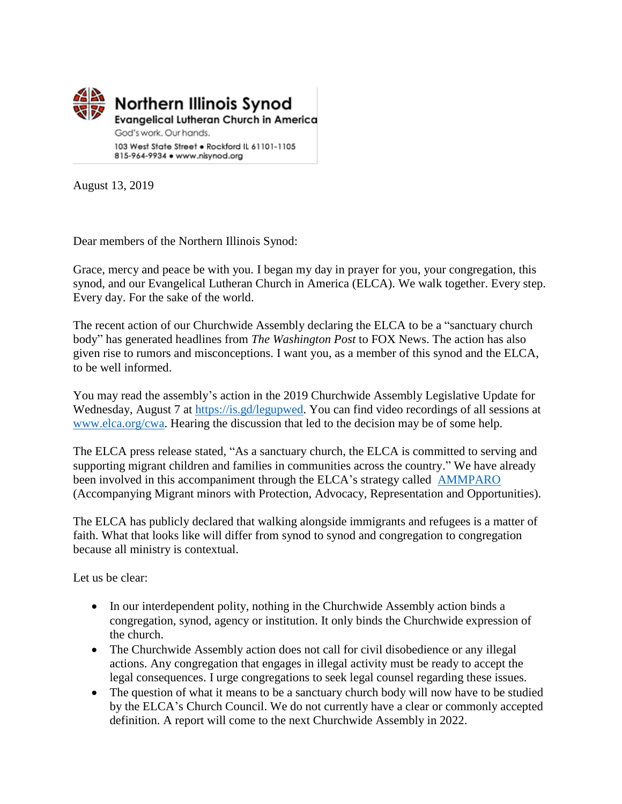

August 13, 2019

Dear members of the Northern Illinois Synod:

Grace, mercy and peace be with you. I began my day in prayer for you, your congregation, this synod, and our Evangelical Lutheran Church in America (ELCA). We walk together. Every step. Every day. For the sake of the world.

The recent action of our Churchwide Assembly declaring the ELCA to be a "sanctuary church body" has generated headlines from *The Washington Post* to FOX News. The action has also given rise to rumors and misconceptions. I want you, as a member of this synod and the ELCA, to be well informed.

You may read the assembly's action in the 2019 Churchwide Assembly Legislative Update for Wednesday, August 7 at [https://is.gd/legupwed.](https://is.gd/legupwed) You can find video recordings of all sessions at [www.elca.org/cwa.](http://www.elca.org/cwa) Hearing the discussion that led to the decision may be of some help.

The ELCA press release stated, "As a sanctuary church, the ELCA is committed to serving and supporting migrant children and families in communities across the country." We have already been involved in this accompaniment through the ELCA's strategy called [AMMPARO](http://www.elca.org/ammparo) (Accompanying Migrant minors with Protection, Advocacy, Representation and Opportunities).

The ELCA has publicly declared that walking alongside immigrants and refugees is a matter of faith. What that looks like will differ from synod to synod and congregation to congregation because all ministry is contextual.

Let us be clear:

- In our interdependent polity, nothing in the Churchwide Assembly action binds a congregation, synod, agency or institution. It only binds the Churchwide expression of the church.
- The Churchwide Assembly action does not call for civil disobedience or any illegal actions. Any congregation that engages in illegal activity must be ready to accept the legal consequences. I urge congregations to seek legal counsel regarding these issues.
- The question of what it means to be a sanctuary church body will now have to be studied by the ELCA's Church Council. We do not currently have a clear or commonly accepted definition. A report will come to the next Churchwide Assembly in 2022.